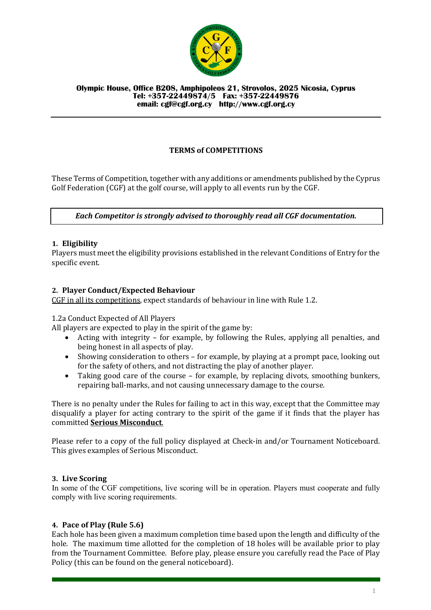

#### **Olympic House, Office B208, Amphipoleos 21, Strovolos, 2025 Nicosia, Cyprus Tel: +357-22449874/5 Fax: +357-22449876 email: cgf@cgf.org.cy http://www.cgf.org.cy**

# **TERMS of COMPETITIONS**

These Terms of Competition, together with any additions or amendments published by the Cyprus Golf Federation (CGF) at the golf course, will apply to all events run by the CGF.

## *Each Competitor is strongly advised to thoroughly read all CGF documentation.*

## **1. Eligibility**

Players must meet the eligibility provisions established in the relevant Conditions of Entry for the specific event.

## **2. Player Conduct/Expected Behaviour**

CGF in all its competitions, expect standards of behaviour in line with Rule 1.2.

### 1.2a Conduct Expected of All Players

All players are expected to play in the spirit of the game by:

- Acting with integrity for example, by following the Rules, applying all penalties, and being honest in all aspects of play.
- Showing consideration to others for example, by playing at a prompt pace, looking out for the safety of others, and not distracting the play of another player.
- Taking good care of the course  $-$  for example, by replacing divots, smoothing bunkers, repairing ball-marks, and not causing unnecessary damage to the course.

There is no penalty under the Rules for failing to act in this way, except that the Committee may disqualify a player for acting contrary to the spirit of the game if it finds that the player has committed **Serious Misconduct**.

Please refer to a copy of the full policy displayed at Check-in and/or Tournament Noticeboard. This gives examples of Serious Misconduct.

### **3. Live Scoring**

In some of the CGF competitions, live scoring will be in operation. Players must cooperate and fully comply with live scoring requirements.

### **4. Pace of Play (Rule 5.6)**

Each hole has been given a maximum completion time based upon the length and difficulty of the hole. The maximum time allotted for the completion of 18 holes will be available prior to play from the Tournament Committee. Before play, please ensure you carefully read the Pace of Play Policy (this can be found on the general noticeboard).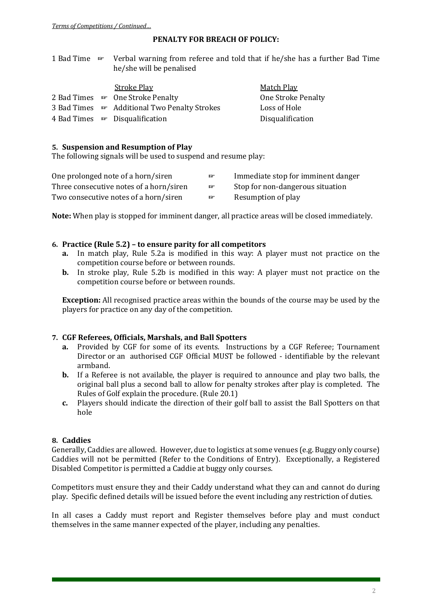## **PENALTY FOR BREACH OF POLICY:**

|  | 1 Bad Time Form Verbal warning from referee and told that if he/she has a further Bad Time |
|--|--------------------------------------------------------------------------------------------|
|  | he/she will be penalised                                                                   |

|  | <b>Stroke Play</b>                           | Match Play                |
|--|----------------------------------------------|---------------------------|
|  | 2 Bad Times <b>Form</b> One Stroke Penalty   | <b>One Stroke Penalty</b> |
|  | 3 Bad Times FRAdditional Two Penalty Strokes | Loss of Hole              |
|  | 4 Bad Times $\mathbb{F}$ Disqualification    | Disqualification          |

## **5. Suspension and Resumption of Play**

The following signals will be used to suspend and resume play:

| One prolonged note of a horn/siren      | <b>DF</b> | Immediate stop for imminent danger |
|-----------------------------------------|-----------|------------------------------------|
| Three consecutive notes of a horn/siren | lof"      | Stop for non-dangerous situation   |
| Two consecutive notes of a horn/siren   | lof"      | Resumption of play                 |

**Note:** When play is stopped for imminent danger, all practice areas will be closed immediately.

## **6. Practice (Rule 5.2) – to ensure parity for all competitors**

- **a.** In match play, Rule 5.2a is modified in this way: A player must not practice on the competition course before or between rounds.
- **b.** In stroke play, Rule 5.2b is modified in this way: A player must not practice on the competition course before or between rounds.

**Exception:** All recognised practice areas within the bounds of the course may be used by the players for practice on any day of the competition.

### **7. CGF Referees, Officials, Marshals, and Ball Spotters**

- **a.** Provided by CGF for some of its events. Instructions by a CGF Referee; Tournament Director or an authorised CGF Official MUST be followed - identifiable by the relevant armband.
- **b.** If a Referee is not available, the player is required to announce and play two balls, the original ball plus a second ball to allow for penalty strokes after play is completed. The Rules of Golf explain the procedure. (Rule 20.1)
- **c.** Players should indicate the direction of their golf ball to assist the Ball Spotters on that hole

## **8. Caddies**

Generally, Caddies are allowed. However, due to logistics at some venues (e.g. Buggy only course) Caddies will not be permitted (Refer to the Conditions of Entry). Exceptionally, a Registered Disabled Competitor is permitted a Caddie at buggy only courses.

Competitors must ensure they and their Caddy understand what they can and cannot do during play. Specific defined details will be issued before the event including any restriction of duties.

In all cases a Caddy must report and Register themselves before play and must conduct themselves in the same manner expected of the player, including any penalties.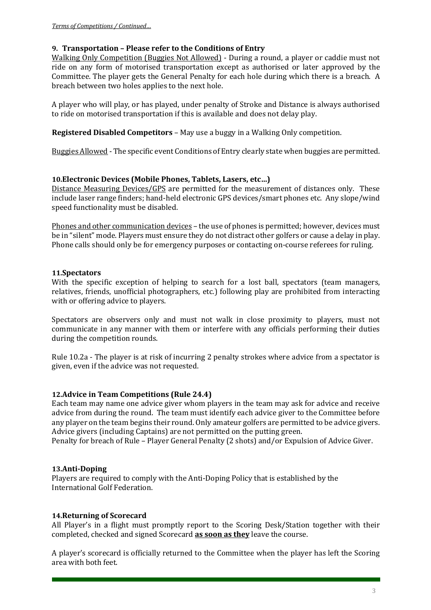## **9. Transportation – Please refer to the Conditions of Entry**

Walking Only Competition (Buggies Not Allowed) - During a round, a player or caddie must not ride on any form of motorised transportation except as authorised or later approved by the Committee. The player gets the General Penalty for each hole during which there is a breach. A breach between two holes applies to the next hole.

A player who will play, or has played, under penalty of Stroke and Distance is always authorised to ride on motorised transportation if this is available and does not delay play.

**Registered Disabled Competitors** – May use a buggy in a Walking Only competition.

Buggies Allowed - The specific event Conditions of Entry clearly state when buggies are permitted.

## **10. Electronic Devices (Mobile Phones, Tablets, Lasers, etc...)**

Distance Measuring Devices/GPS are permitted for the measurement of distances only. These include laser range finders; hand-held electronic GPS devices/smart phones etc. Any slope/wind speed functionality must be disabled.

Phones and other communication devices – the use of phones is permitted; however, devices must be in "silent" mode. Players must ensure they do not distract other golfers or cause a delay in play. Phone calls should only be for emergency purposes or contacting on-course referees for ruling.

## **11.Spectators**

With the specific exception of helping to search for a lost ball, spectators (team managers, relatives, friends, unofficial photographers, etc.) following play are prohibited from interacting with or offering advice to players.

Spectators are observers only and must not walk in close proximity to players, must not communicate in any manner with them or interfere with any officials performing their duties during the competition rounds.

Rule 10.2a - The player is at risk of incurring 2 penalty strokes where advice from a spectator is given, even if the advice was not requested.

## **12. Advice in Team Competitions (Rule 24.4)**

Each team may name one advice giver whom players in the team may ask for advice and receive advice from during the round. The team must identify each advice giver to the Committee before any player on the team begins their round. Only amateur golfers are permitted to be advice givers. Advice givers (including Captains) are not permitted on the putting green.

Penalty for breach of Rule – Player General Penalty (2 shots) and/or Expulsion of Advice Giver.

## **13.Anti-Doping**

Players are required to comply with the Anti-Doping Policy that is established by the International Golf Federation.

### **14.Returning of Scorecard**

All Player's in a flight must promptly report to the Scoring Desk/Station together with their completed, checked and signed Scorecard **as soon as they** leave the course.

A player's scorecard is officially returned to the Committee when the player has left the Scoring area with both feet.